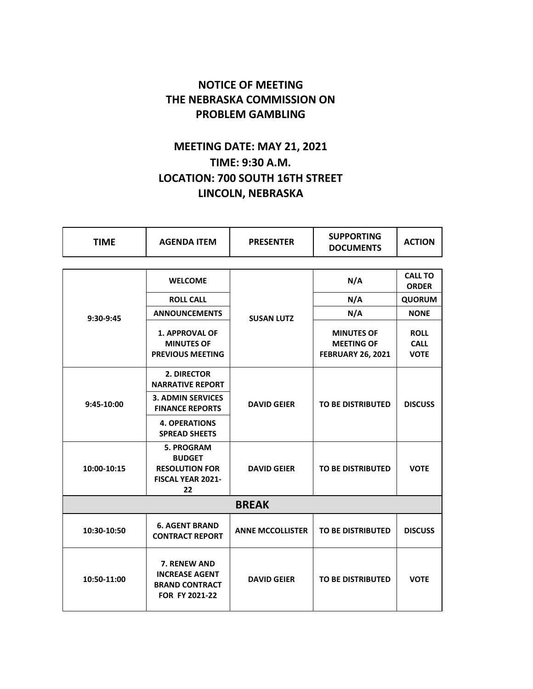## **NOTICE OF MEETING THE NEBRASKA COMMISSION ON PROBLEM GAMBLING**

## **MEETING DATE: MAY 21, 2021 TIME: 9:30 A.M. LOCATION: 700 SOUTH 16TH STREET LINCOLN, NEBRASKA**

| <b>TIME</b>  | <b>AGENDA ITEM</b>                                                                     | <b>PRESENTER</b>        | <b>SUPPORTING</b><br><b>DOCUMENTS</b>                              | <b>ACTION</b>                             |  |  |
|--------------|----------------------------------------------------------------------------------------|-------------------------|--------------------------------------------------------------------|-------------------------------------------|--|--|
|              |                                                                                        |                         |                                                                    |                                           |  |  |
| 9:30-9:45    | <b>WELCOME</b>                                                                         | <b>SUSAN LUTZ</b>       | N/A                                                                | <b>CALL TO</b><br><b>ORDER</b>            |  |  |
|              | <b>ROLL CALL</b>                                                                       |                         | N/A                                                                | <b>QUORUM</b>                             |  |  |
|              | <b>ANNOUNCEMENTS</b>                                                                   |                         | N/A                                                                | <b>NONE</b>                               |  |  |
|              | <b>1. APPROVAL OF</b><br><b>MINUTES OF</b><br><b>PREVIOUS MEETING</b>                  |                         | <b>MINUTES OF</b><br><b>MEETING OF</b><br><b>FEBRUARY 26, 2021</b> | <b>ROLL</b><br><b>CALL</b><br><b>VOTE</b> |  |  |
| 9:45-10:00   | 2. DIRECTOR<br><b>NARRATIVE REPORT</b>                                                 | <b>DAVID GEIER</b>      |                                                                    |                                           |  |  |
|              | <b>3. ADMIN SERVICES</b><br><b>FINANCE REPORTS</b>                                     |                         | <b>TO BE DISTRIBUTED</b>                                           | <b>DISCUSS</b>                            |  |  |
|              | <b>4. OPERATIONS</b><br><b>SPREAD SHEETS</b>                                           |                         |                                                                    |                                           |  |  |
| 10:00-10:15  | <b>5. PROGRAM</b><br><b>BUDGET</b><br><b>RESOLUTION FOR</b><br>FISCAL YEAR 2021-<br>22 | <b>DAVID GEIER</b>      | <b>TO BE DISTRIBUTED</b>                                           | <b>VOTE</b>                               |  |  |
| <b>BREAK</b> |                                                                                        |                         |                                                                    |                                           |  |  |
| 10:30-10:50  | <b>6. AGENT BRAND</b><br><b>CONTRACT REPORT</b>                                        | <b>ANNE MCCOLLISTER</b> | <b>TO BE DISTRIBUTED</b>                                           | <b>DISCUSS</b>                            |  |  |
| 10:50-11:00  | 7. RENEW AND<br><b>INCREASE AGENT</b><br><b>BRAND CONTRACT</b><br>FOR FY 2021-22       | <b>DAVID GEIER</b>      | <b>TO BE DISTRIBUTED</b>                                           | <b>VOTE</b>                               |  |  |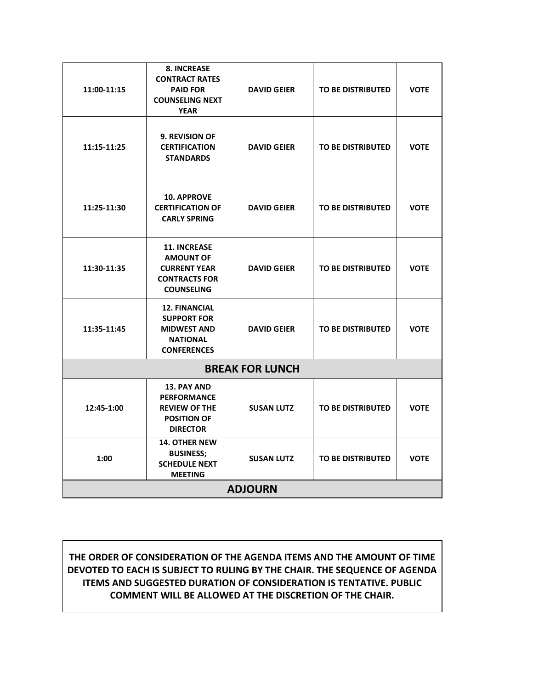## **THE ORDER OF CONSIDERATION OF THE AGENDA ITEMS AND THE AMOUNT OF TIME DEVOTED TO EACH IS SUBJECT TO RULING BY THE CHAIR. THE SEQUENCE OF AGENDA ITEMS AND SUGGESTED DURATION OF CONSIDERATION IS TENTATIVE. PUBLIC COMMENT WILL BE ALLOWED AT THE DISCRETION OF THE CHAIR.**

| 11:00-11:15            | <b>8. INCREASE</b><br><b>CONTRACT RATES</b><br><b>PAID FOR</b><br><b>COUNSELING NEXT</b><br><b>YEAR</b>     | <b>DAVID GEIER</b> | <b>TO BE DISTRIBUTED</b> | <b>VOTE</b> |  |  |  |
|------------------------|-------------------------------------------------------------------------------------------------------------|--------------------|--------------------------|-------------|--|--|--|
| 11:15-11:25            | <b>9. REVISION OF</b><br><b>CERTIFICATION</b><br><b>STANDARDS</b>                                           | <b>DAVID GEIER</b> | <b>TO BE DISTRIBUTED</b> | <b>VOTE</b> |  |  |  |
| 11:25-11:30            | <b>10. APPROVE</b><br><b>CERTIFICATION OF</b><br><b>CARLY SPRING</b>                                        | <b>DAVID GEIER</b> | <b>TO BE DISTRIBUTED</b> | <b>VOTE</b> |  |  |  |
| 11:30-11:35            | <b>11. INCREASE</b><br><b>AMOUNT OF</b><br><b>CURRENT YEAR</b><br><b>CONTRACTS FOR</b><br><b>COUNSELING</b> | <b>DAVID GEIER</b> | <b>TO BE DISTRIBUTED</b> | <b>VOTE</b> |  |  |  |
| 11:35-11:45            | <b>12. FINANCIAL</b><br><b>SUPPORT FOR</b><br><b>MIDWEST AND</b><br><b>NATIONAL</b><br><b>CONFERENCES</b>   | <b>DAVID GEIER</b> | <b>TO BE DISTRIBUTED</b> | <b>VOTE</b> |  |  |  |
| <b>BREAK FOR LUNCH</b> |                                                                                                             |                    |                          |             |  |  |  |
| 12:45-1:00             | <b>13. PAY AND</b><br><b>PERFORMANCE</b><br><b>REVIEW OF THE</b><br><b>POSITION OF</b><br><b>DIRECTOR</b>   | <b>SUSAN LUTZ</b>  | <b>TO BE DISTRIBUTED</b> | <b>VOTE</b> |  |  |  |
| 1:00                   | <b>14. OTHER NEW</b><br><b>BUSINESS:</b><br><b>SCHEDULE NEXT</b><br><b>MEETING</b>                          | <b>SUSAN LUTZ</b>  | <b>TO BE DISTRIBUTED</b> | <b>VOTE</b> |  |  |  |
| <b>ADJOURN</b>         |                                                                                                             |                    |                          |             |  |  |  |